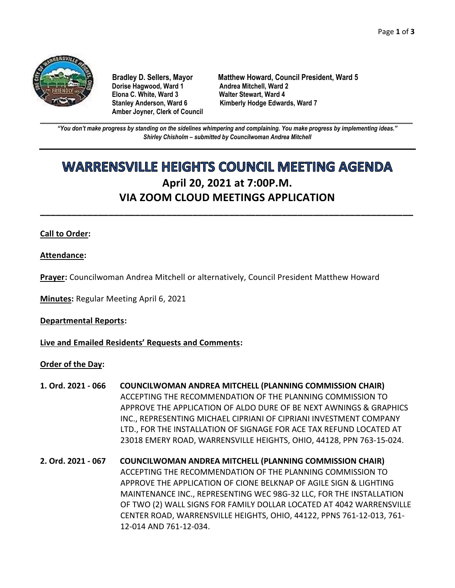

**Dorise Hagwood, Ward 1 Elona C. White, Ward 3 Walter Stewart, Ward 4 Amber Joyner, Clerk of Council**

**Bradley D. Sellers, Mayor Matthew Howard, Council President, Ward 5** Stanley Anderson, Ward 6 Kimberly Hodge Edwards, Ward 7

**\_\_\_\_\_\_\_\_\_\_\_\_\_\_\_\_\_\_\_\_\_\_\_\_\_\_\_\_\_\_\_\_\_\_\_\_\_\_\_\_\_\_\_\_\_\_\_\_\_\_\_\_\_\_\_\_\_\_\_\_\_\_\_\_\_\_\_\_\_\_\_\_\_\_\_\_\_\_\_\_\_\_\_\_\_\_\_\_\_\_\_\_\_\_\_\_\_\_\_\_\_\_\_\_\_\_\_\_\_\_** *"You don't make progress by standing on the sidelines whimpering and complaining. You make progress by implementing ideas." Shirley Chisholm – submitted by Councilwoman Andrea Mitchell*

# **WARRENSVILLE HEIGHTS COUNCIL MEETING AGENDA April 20, 2021 at 7:00P.M. VIA ZOOM CLOUD MEETINGS APPLICATION**

**\_\_\_\_\_\_\_\_\_\_\_\_\_\_\_\_\_\_\_\_\_\_\_\_\_\_\_\_\_\_\_\_\_\_\_\_\_\_\_\_\_\_\_\_\_\_\_\_\_\_\_\_\_\_\_\_\_\_\_\_\_\_\_\_\_\_\_\_\_\_\_**

# **Call to Order:**

**Attendance:**

**Prayer:** Councilwoman Andrea Mitchell or alternatively, Council President Matthew Howard

**Minutes:** Regular Meeting April 6, 2021

**Departmental Reports:**

**Live and Emailed Residents' Requests and Comments:**

**Order of the Day:**

- **1. Ord. 2021 - 066 COUNCILWOMAN ANDREA MITCHELL (PLANNING COMMISSION CHAIR)** ACCEPTING THE RECOMMENDATION OF THE PLANNING COMMISSION TO APPROVE THE APPLICATION OF ALDO DURE OF BE NEXT AWNINGS & GRAPHICS INC., REPRESENTING MICHAEL CIPRIANI OF CIPRIANI INVESTMENT COMPANY LTD., FOR THE INSTALLATION OF SIGNAGE FOR ACE TAX REFUND LOCATED AT 23018 EMERY ROAD, WARRENSVILLE HEIGHTS, OHIO, 44128, PPN 763-15-024.
- **2. Ord. 2021 - 067 COUNCILWOMAN ANDREA MITCHELL (PLANNING COMMISSION CHAIR)** ACCEPTING THE RECOMMENDATION OF THE PLANNING COMMISSION TO APPROVE THE APPLICATION OF CIONE BELKNAP OF AGILE SIGN & LIGHTING MAINTENANCE INC., REPRESENTING WEC 98G-32 LLC, FOR THE INSTALLATION OF TWO (2) WALL SIGNS FOR FAMILY DOLLAR LOCATED AT 4042 WARRENSVILLE CENTER ROAD, WARRENSVILLE HEIGHTS, OHIO, 44122, PPNS 761-12-013, 761- 12-014 AND 761-12-034.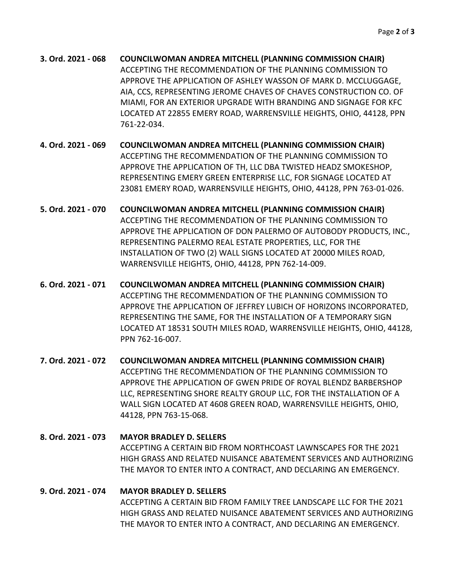**3. Ord. 2021 - 068 COUNCILWOMAN ANDREA MITCHELL (PLANNING COMMISSION CHAIR)** ACCEPTING THE RECOMMENDATION OF THE PLANNING COMMISSION TO APPROVE THE APPLICATION OF ASHLEY WASSON OF MARK D. MCCLUGGAGE, AIA, CCS, REPRESENTING JEROME CHAVES OF CHAVES CONSTRUCTION CO. OF MIAMI, FOR AN EXTERIOR UPGRADE WITH BRANDING AND SIGNAGE FOR KFC LOCATED AT 22855 EMERY ROAD, WARRENSVILLE HEIGHTS, OHIO, 44128, PPN 761-22-034.

**4. Ord. 2021 - 069 COUNCILWOMAN ANDREA MITCHELL (PLANNING COMMISSION CHAIR)** ACCEPTING THE RECOMMENDATION OF THE PLANNING COMMISSION TO APPROVE THE APPLICATION OF TH, LLC DBA TWISTED HEADZ SMOKESHOP, REPRESENTING EMERY GREEN ENTERPRISE LLC, FOR SIGNAGE LOCATED AT 23081 EMERY ROAD, WARRENSVILLE HEIGHTS, OHIO, 44128, PPN 763-01-026.

- **5. Ord. 2021 - 070 COUNCILWOMAN ANDREA MITCHELL (PLANNING COMMISSION CHAIR)** ACCEPTING THE RECOMMENDATION OF THE PLANNING COMMISSION TO APPROVE THE APPLICATION OF DON PALERMO OF AUTOBODY PRODUCTS, INC., REPRESENTING PALERMO REAL ESTATE PROPERTIES, LLC, FOR THE INSTALLATION OF TWO (2) WALL SIGNS LOCATED AT 20000 MILES ROAD, WARRENSVILLE HEIGHTS, OHIO, 44128, PPN 762-14-009.
- **6. Ord. 2021 - 071 COUNCILWOMAN ANDREA MITCHELL (PLANNING COMMISSION CHAIR)** ACCEPTING THE RECOMMENDATION OF THE PLANNING COMMISSION TO APPROVE THE APPLICATION OF JEFFREY LUBICH OF HORIZONS INCORPORATED, REPRESENTING THE SAME, FOR THE INSTALLATION OF A TEMPORARY SIGN LOCATED AT 18531 SOUTH MILES ROAD, WARRENSVILLE HEIGHTS, OHIO, 44128, PPN 762-16-007.
- **7. Ord. 2021 - 072 COUNCILWOMAN ANDREA MITCHELL (PLANNING COMMISSION CHAIR)** ACCEPTING THE RECOMMENDATION OF THE PLANNING COMMISSION TO APPROVE THE APPLICATION OF GWEN PRIDE OF ROYAL BLENDZ BARBERSHOP LLC, REPRESENTING SHORE REALTY GROUP LLC, FOR THE INSTALLATION OF A WALL SIGN LOCATED AT 4608 GREEN ROAD, WARRENSVILLE HEIGHTS, OHIO, 44128, PPN 763-15-068.

**8. Ord. 2021 - 073 MAYOR BRADLEY D. SELLERS** ACCEPTING A CERTAIN BID FROM NORTHCOAST LAWNSCAPES FOR THE 2021 HIGH GRASS AND RELATED NUISANCE ABATEMENT SERVICES AND AUTHORIZING THE MAYOR TO ENTER INTO A CONTRACT, AND DECLARING AN EMERGENCY.

# **9. Ord. 2021 - 074 MAYOR BRADLEY D. SELLERS** ACCEPTING A CERTAIN BID FROM FAMILY TREE LANDSCAPE LLC FOR THE 2021 HIGH GRASS AND RELATED NUISANCE ABATEMENT SERVICES AND AUTHORIZING THE MAYOR TO ENTER INTO A CONTRACT, AND DECLARING AN EMERGENCY.